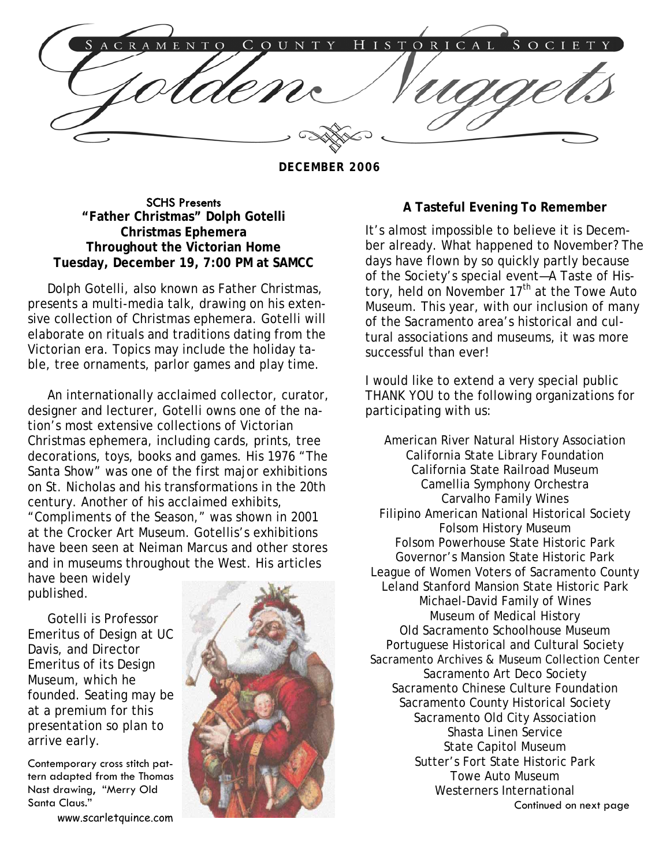ISTORICAL  $E N$ COUNTY  $H$ S  $O C$ 

**DECEMBER 2006** 

SCHS Presents **"Father Christmas" Dolph Gotelli Christmas Ephemera Throughout the Victorian Home Tuesday, December 19, 7:00 PM at SAMCC**

 Dolph Gotelli, also known as Father Christmas, presents a multi-media talk, drawing on his extensive collection of Christmas ephemera. Gotelli will elaborate on rituals and traditions dating from the Victorian era. Topics may include the holiday table, tree ornaments, parlor games and play time.

 An internationally acclaimed collector, curator, designer and lecturer, Gotelli owns one of the nation's most extensive collections of Victorian Christmas ephemera, including cards, prints, tree decorations, toys, books and games. His 1976 "The Santa Show" was one of the first major exhibitions on St. Nicholas and his transformations in the 20th century. Another of his acclaimed exhibits, "Compliments of the Season," was shown in 2001 at the Crocker Art Museum. Gotellis's exhibitions have been seen at Neiman Marcus and other stores and in museums throughout the West. His articles have been widely

published.

 Gotelli is Professor Emeritus of Design at UC Davis, and Director Emeritus of its Design Museum, which he founded. Seating may be at a premium for this presentation so plan to arrive early.

Contemporary cross stitch pattern adapted from the Thomas Nast drawing, "Merry Old Santa Claus."

www.scarletquince.com



### **A Tasteful Evening To Remember**

It's almost impossible to believe it is December already. What happened to November? The days have flown by so quickly partly because of the Society's special event—A Taste of History, held on November 17<sup>th</sup> at the Towe Auto Museum. This year, with our inclusion of many of the Sacramento area's historical and cultural associations and museums, it was more successful than ever!

I would like to extend a very special public THANK YOU to the following organizations for participating with us:

American River Natural History Association California State Library Foundation California State Railroad Museum Camellia Symphony Orchestra Carvalho Family Wines Filipino American National Historical Society Folsom History Museum Folsom Powerhouse State Historic Park Governor's Mansion State Historic Park League of Women Voters of Sacramento County Leland Stanford Mansion State Historic Park Michael-David Family of Wines Museum of Medical History Old Sacramento Schoolhouse Museum Portuguese Historical and Cultural Society Sacramento Archives & Museum Collection Center Sacramento Art Deco Society Sacramento Chinese Culture Foundation Sacramento County Historical Society Sacramento Old City Association Shasta Linen Service State Capitol Museum Sutter's Fort State Historic Park Towe Auto Museum Westerners International Continued on next page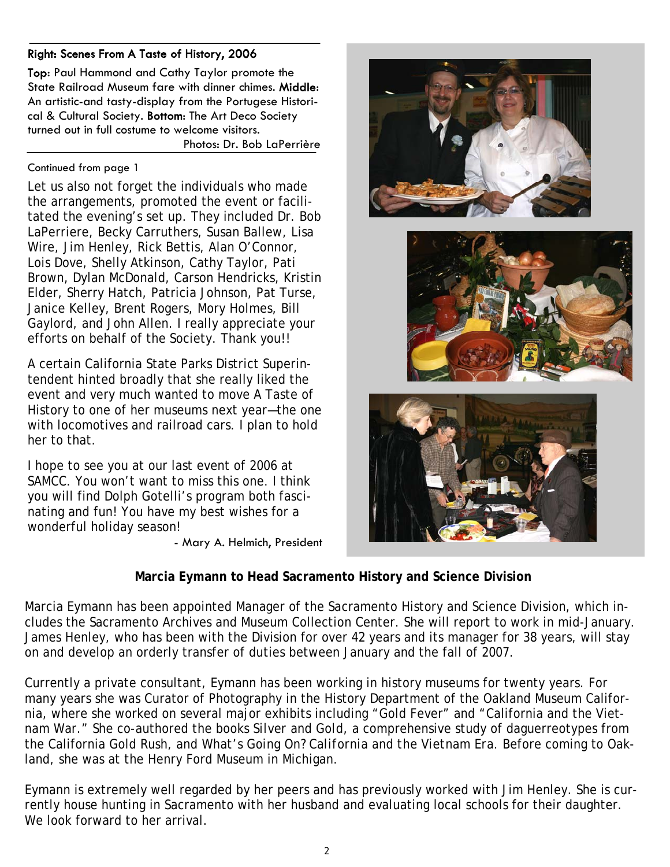# Right: Scenes From A Taste of History, 2006

Top: Paul Hammond and Cathy Taylor promote the State Railroad Museum fare with dinner chimes. Middle: An artistic-and tasty-display from the Portugese Historical & Cultural Society. Bottom: The Art Deco Society turned out in full costume to welcome visitors.

Photos: Dr. Bob LaPerrière

#### Continued from page 1

Let us also not forget the individuals who made the arrangements, promoted the event or facilitated the evening's set up. They included Dr. Bob LaPerriere, Becky Carruthers, Susan Ballew, Lisa Wire, Jim Henley, Rick Bettis, Alan O'Connor, Lois Dove, Shelly Atkinson, Cathy Taylor, Pati Brown, Dylan McDonald, Carson Hendricks, Kristin Elder, Sherry Hatch, Patricia Johnson, Pat Turse, Janice Kelley, Brent Rogers, Mory Holmes, Bill Gaylord, and John Allen. I really appreciate your efforts on behalf of the Society. Thank you!!

A certain California State Parks District Superintendent hinted broadly that she really liked the event and very much wanted to move A Taste of History to one of her museums next year—the one with locomotives and railroad cars. I plan to hold her to that.

I hope to see you at our last event of 2006 at SAMCC. You won't want to miss this one. I think you will find Dolph Gotelli's program both fascinating and fun! You have my best wishes for a wonderful holiday season!

- Mary A. Helmich, President







# **Marcia Eymann to Head Sacramento History and Science Division**

Marcia Eymann has been appointed Manager of the Sacramento History and Science Division, which includes the Sacramento Archives and Museum Collection Center. She will report to work in mid-January. James Henley, who has been with the Division for over 42 years and its manager for 38 years, will stay on and develop an orderly transfer of duties between January and the fall of 2007.

Currently a private consultant, Eymann has been working in history museums for twenty years. For many years she was Curator of Photography in the History Department of the Oakland Museum California, where she worked on several major exhibits including "Gold Fever" and "California and the Vietnam War." She co-authored the books *Silver and Gold,* a comprehensive study of daguerreotypes from the California Gold Rush, and *What's Going On? California and the Vietnam Era*. Before coming to Oakland, she was at the Henry Ford Museum in Michigan.

Eymann is extremely well regarded by her peers and has previously worked with Jim Henley. She is currently house hunting in Sacramento with her husband and evaluating local schools for their daughter. We look forward to her arrival.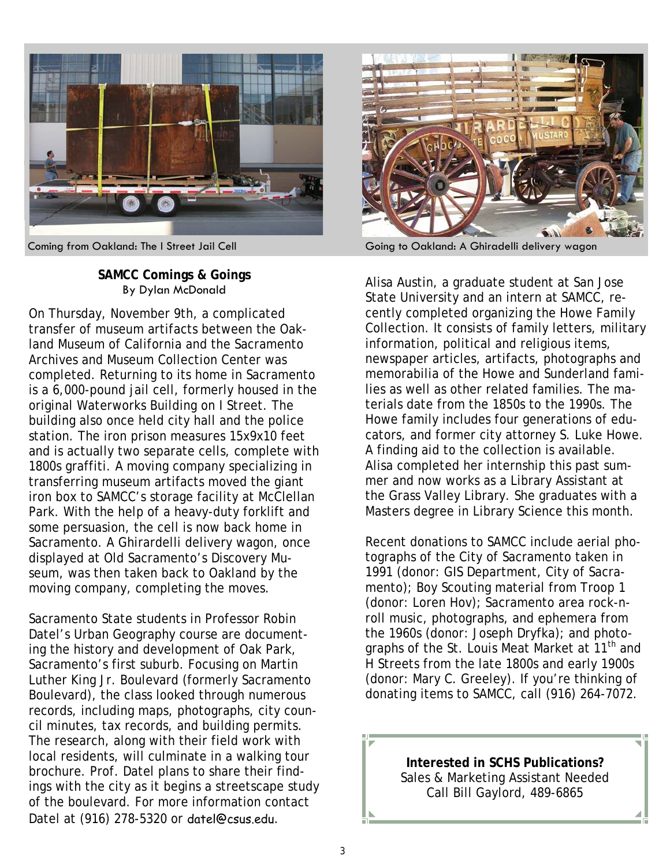

# **SAMCC Comings & Goings**  By Dylan McDonald

On Thursday, November 9th, a complicated transfer of museum artifacts between the Oakland Museum of California and the Sacramento Archives and Museum Collection Center was completed. Returning to its home in Sacramento is a 6,000-pound jail cell, formerly housed in the original Waterworks Building on I Street. The building also once held city hall and the police station. The iron prison measures 15x9x10 feet and is actually two separate cells, complete with 1800s graffiti. A moving company specializing in transferring museum artifacts moved the giant iron box to SAMCC's storage facility at McClellan Park. With the help of a heavy-duty forklift and some persuasion, the cell is now back home in Sacramento. A Ghirardelli delivery wagon, once displayed at Old Sacramento's Discovery Museum, was then taken back to Oakland by the moving company, completing the moves.

Sacramento State students in Professor Robin Datel's Urban Geography course are documenting the history and development of Oak Park, Sacramento's first suburb. Focusing on Martin Luther King Jr. Boulevard (formerly Sacramento Boulevard), the class looked through numerous records, including maps, photographs, city council minutes, tax records, and building permits. The research, along with their field work with local residents, will culminate in a walking tour brochure. Prof. Datel plans to share their findings with the city as it begins a streetscape study of the boulevard. For more information contact Datel at (916) 278-5320 or datel@csus.edu.



Coming from Oakland: The I Street Jail Cell Going to Oakland: A Ghiradelli delivery wagon

Alisa Austin, a graduate student at San Jose State University and an intern at SAMCC, recently completed organizing the Howe Family Collection. It consists of family letters, military information, political and religious items, newspaper articles, artifacts, photographs and memorabilia of the Howe and Sunderland families as well as other related families. The materials date from the 1850s to the 1990s. The Howe family includes four generations of educators, and former city attorney S. Luke Howe. A finding aid to the collection is available. Alisa completed her internship this past summer and now works as a Library Assistant at the Grass Valley Library. She graduates with a Masters degree in Library Science this month.

Recent donations to SAMCC include aerial photographs of the City of Sacramento taken in 1991 (donor: GIS Department, City of Sacramento); Boy Scouting material from Troop 1 (donor: Loren Hov); Sacramento area rock-nroll music, photographs, and ephemera from the 1960s (donor: Joseph Dryfka); and photographs of the St. Louis Meat Market at 11<sup>th</sup> and H Streets from the late 1800s and early 1900s (donor: Mary C. Greeley). If you're thinking of donating items to SAMCC, call (916) 264-7072.

> **Interested in SCHS Publications?**  Sales & Marketing Assistant Needed Call Bill Gaylord, 489-6865